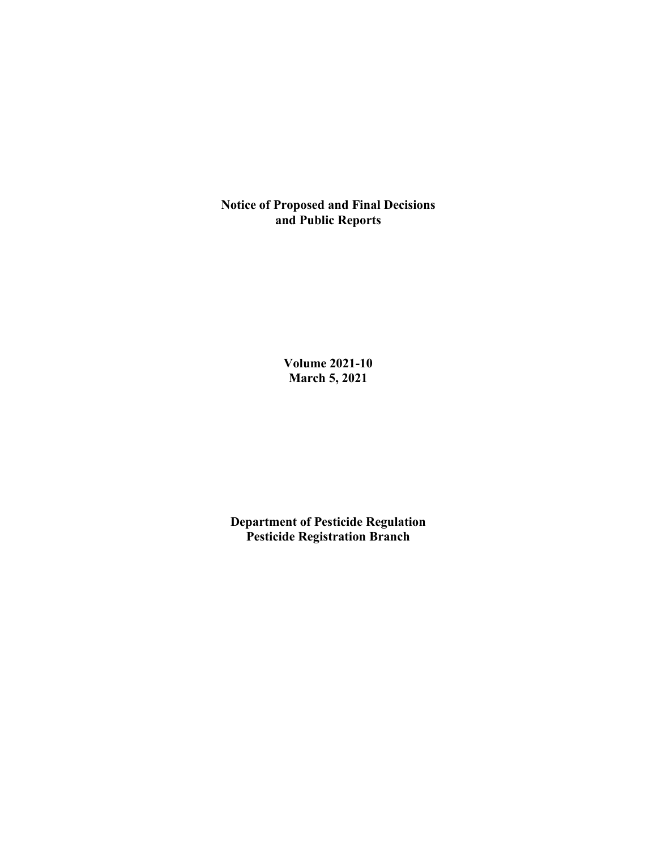**Notice of Proposed and Final Decisions and Public Reports**

> **Volume 2021-10 March 5, 2021**

**Department of Pesticide Regulation Pesticide Registration Branch**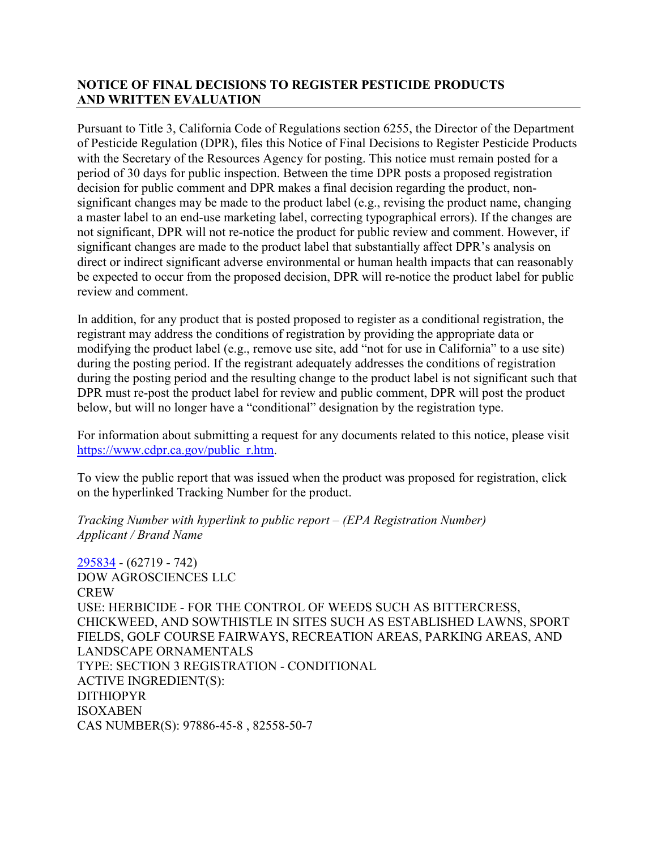## **NOTICE OF FINAL DECISIONS TO REGISTER PESTICIDE PRODUCTS AND WRITTEN EVALUATION**

Pursuant to Title 3, California Code of Regulations section 6255, the Director of the Department of Pesticide Regulation (DPR), files this Notice of Final Decisions to Register Pesticide Products with the Secretary of the Resources Agency for posting. This notice must remain posted for a period of 30 days for public inspection. Between the time DPR posts a proposed registration decision for public comment and DPR makes a final decision regarding the product, nonsignificant changes may be made to the product label (e.g., revising the product name, changing a master label to an end-use marketing label, correcting typographical errors). If the changes are not significant, DPR will not re-notice the product for public review and comment. However, if significant changes are made to the product label that substantially affect DPR's analysis on direct or indirect significant adverse environmental or human health impacts that can reasonably be expected to occur from the proposed decision, DPR will re-notice the product label for public review and comment.

In addition, for any product that is posted proposed to register as a conditional registration, the registrant may address the conditions of registration by providing the appropriate data or modifying the product label (e.g., remove use site, add "not for use in California" to a use site) during the posting period. If the registrant adequately addresses the conditions of registration during the posting period and the resulting change to the product label is not significant such that DPR must re-post the product label for review and public comment, DPR will post the product below, but will no longer have a "conditional" designation by the registration type.

For information about submitting a request for any documents related to this notice, please visit [https://www.cdpr.ca.gov/public\\_r.htm.](https://www.cdpr.ca.gov/public_r.htm)

To view the public report that was issued when the product was proposed for registration, click on the hyperlinked Tracking Number for the product.

*Tracking Number with hyperlink to public report – (EPA Registration Number) Applicant / Brand Name*

[295834](https://www.cdpr.ca.gov/docs/registration/nod/public_reports/295834.pdf) - (62719 - 742) DOW AGROSCIENCES LLC **CREW** USE: HERBICIDE - FOR THE CONTROL OF WEEDS SUCH AS BITTERCRESS, CHICKWEED, AND SOWTHISTLE IN SITES SUCH AS ESTABLISHED LAWNS, SPORT FIELDS, GOLF COURSE FAIRWAYS, RECREATION AREAS, PARKING AREAS, AND LANDSCAPE ORNAMENTALS TYPE: SECTION 3 REGISTRATION - CONDITIONAL ACTIVE INGREDIENT(S): DITHIOPYR ISOXABEN CAS NUMBER(S): 97886-45-8 , 82558-50-7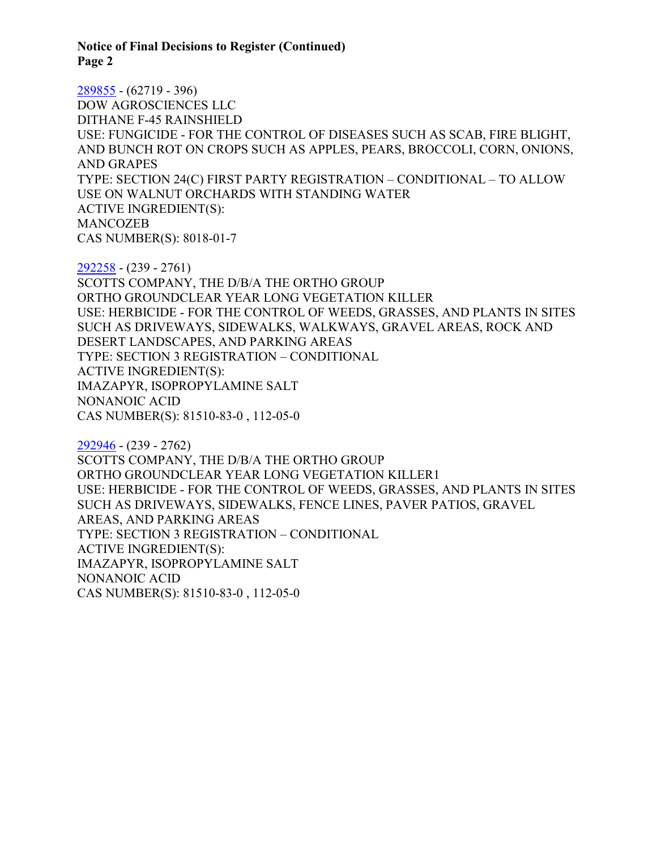**Notice of Final Decisions to Register (Continued) Page 2**

[289855](https://www.cdpr.ca.gov/docs/registration/nod/public_reports/289855.pdf) - (62719 - 396) DOW AGROSCIENCES LLC DITHANE F-45 RAINSHIELD USE: FUNGICIDE - FOR THE CONTROL OF DISEASES SUCH AS SCAB, FIRE BLIGHT, AND BUNCH ROT ON CROPS SUCH AS APPLES, PEARS, BROCCOLI, CORN, ONIONS, AND GRAPES TYPE: SECTION 24(C) FIRST PARTY REGISTRATION – CONDITIONAL – TO ALLOW USE ON WALNUT ORCHARDS WITH STANDING WATER ACTIVE INGREDIENT(S): MANCOZEB CAS NUMBER(S): 8018-01-7

[292258](https://www.cdpr.ca.gov/docs/registration/nod/public_reports/292258.pdf) - (239 - 2761) SCOTTS COMPANY, THE D/B/A THE ORTHO GROUP ORTHO GROUNDCLEAR YEAR LONG VEGETATION KILLER USE: HERBICIDE - FOR THE CONTROL OF WEEDS, GRASSES, AND PLANTS IN SITES SUCH AS DRIVEWAYS, SIDEWALKS, WALKWAYS, GRAVEL AREAS, ROCK AND DESERT LANDSCAPES, AND PARKING AREAS TYPE: SECTION 3 REGISTRATION – CONDITIONAL ACTIVE INGREDIENT(S): IMAZAPYR, ISOPROPYLAMINE SALT NONANOIC ACID CAS NUMBER(S): 81510-83-0 , 112-05-0

[292946](https://www.cdpr.ca.gov/docs/registration/nod/public_reports/292946.pdf) - (239 - 2762) SCOTTS COMPANY, THE D/B/A THE ORTHO GROUP ORTHO GROUNDCLEAR YEAR LONG VEGETATION KILLER1 USE: HERBICIDE - FOR THE CONTROL OF WEEDS, GRASSES, AND PLANTS IN SITES SUCH AS DRIVEWAYS, SIDEWALKS, FENCE LINES, PAVER PATIOS, GRAVEL AREAS, AND PARKING AREAS TYPE: SECTION 3 REGISTRATION – CONDITIONAL ACTIVE INGREDIENT(S): IMAZAPYR, ISOPROPYLAMINE SALT NONANOIC ACID CAS NUMBER(S): 81510-83-0 , 112-05-0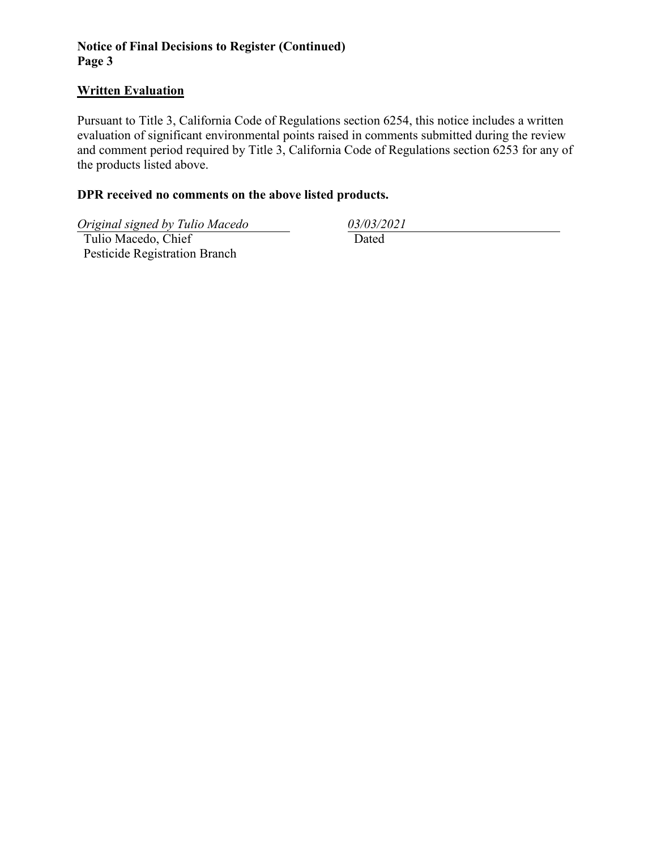## **Notice of Final Decisions to Register (Continued) Page 3**

#### **Written Evaluation**

Pursuant to Title 3, California Code of Regulations section 6254, this notice includes a written evaluation of significant environmental points raised in comments submitted during the review and comment period required by Title 3, California Code of Regulations section 6253 for any of the products listed above.

## **DPR received no comments on the above listed products.**

*Original signed by Tulio Macedo 03/03/2021*

 Tulio Macedo, Chief Pesticide Registration Branch

Dated